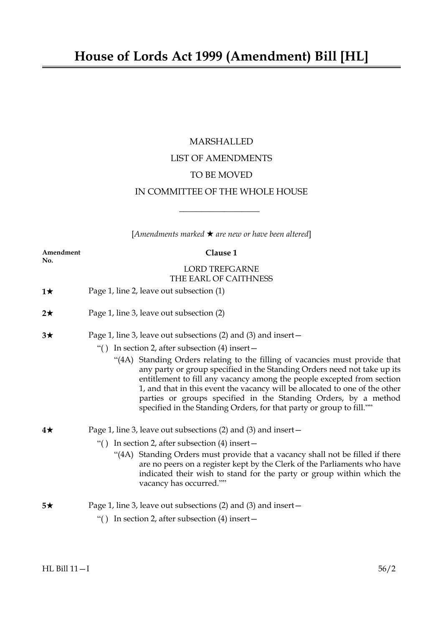# MARSHALLED LIST OF AMENDMENTS TO BE MOVED IN COMMITTEE OF THE WHOLE HOUSE

[*Amendments marked* \* *are new or have been altered*]

 $\overline{\phantom{a}}$  , where  $\overline{\phantom{a}}$ 

| Amendment<br>No. | Clause 1                                                                                                                                                                                                                                                                                                                                                                                                                                                     |
|------------------|--------------------------------------------------------------------------------------------------------------------------------------------------------------------------------------------------------------------------------------------------------------------------------------------------------------------------------------------------------------------------------------------------------------------------------------------------------------|
|                  | <b>LORD TREFGARNE</b><br>THE EARL OF CAITHNESS                                                                                                                                                                                                                                                                                                                                                                                                               |
| 1★               | Page 1, line 2, leave out subsection (1)                                                                                                                                                                                                                                                                                                                                                                                                                     |
| $2\star$         | Page 1, line 3, leave out subsection (2)                                                                                                                                                                                                                                                                                                                                                                                                                     |
| $3\star$         | Page 1, line 3, leave out subsections (2) and (3) and insert -                                                                                                                                                                                                                                                                                                                                                                                               |
|                  | In section 2, after subsection $(4)$ insert –<br>``()                                                                                                                                                                                                                                                                                                                                                                                                        |
|                  | "(4A) Standing Orders relating to the filling of vacancies must provide that<br>any party or group specified in the Standing Orders need not take up its<br>entitlement to fill any vacancy among the people excepted from section<br>1, and that in this event the vacancy will be allocated to one of the other<br>parties or groups specified in the Standing Orders, by a method<br>specified in the Standing Orders, for that party or group to fill."" |
| 4★               | Page 1, line 3, leave out subsections (2) and (3) and insert –                                                                                                                                                                                                                                                                                                                                                                                               |
|                  | In section 2, after subsection $(4)$ insert –<br>``()                                                                                                                                                                                                                                                                                                                                                                                                        |
|                  | "(4A) Standing Orders must provide that a vacancy shall not be filled if there<br>are no peers on a register kept by the Clerk of the Parliaments who have<br>indicated their wish to stand for the party or group within which the<br>vacancy has occurred.""                                                                                                                                                                                               |
| 5★               | Page 1, line 3, leave out subsections $(2)$ and $(3)$ and insert $-$                                                                                                                                                                                                                                                                                                                                                                                         |
|                  | In section 2, after subsection $(4)$ insert –<br>``( )                                                                                                                                                                                                                                                                                                                                                                                                       |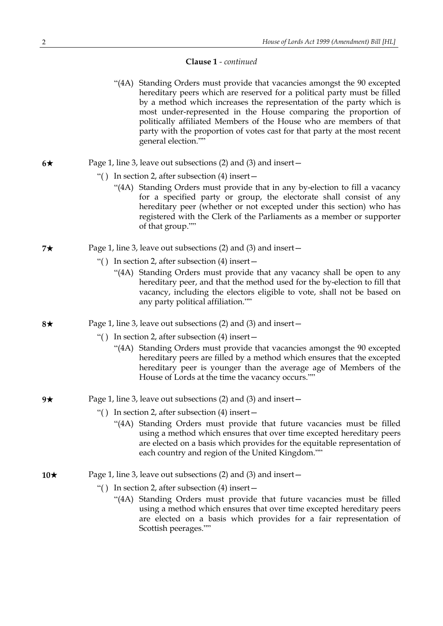- "(4A) Standing Orders must provide that vacancies amongst the 90 excepted hereditary peers which are reserved for a political party must be filled by a method which increases the representation of the party which is most under-represented in the House comparing the proportion of politically affiliated Members of the House who are members of that party with the proportion of votes cast for that party at the most recent general election.""
- $6\star$  Page 1, line 3, leave out subsections (2) and (3) and insert
	- "( ) In section 2, after subsection (4) insert—
		- "(4A) Standing Orders must provide that in any by-election to fill a vacancy for a specified party or group, the electorate shall consist of any hereditary peer (whether or not excepted under this section) who has registered with the Clerk of the Parliaments as a member or supporter of that group.""
- **7★** Page 1, line 3, leave out subsections (2) and (3) and insert—
	- "( ) In section 2, after subsection (4) insert—
		- "(4A) Standing Orders must provide that any vacancy shall be open to any hereditary peer, and that the method used for the by-election to fill that vacancy, including the electors eligible to vote, shall not be based on any party political affiliation.""
- **8★** Page 1, line 3, leave out subsections (2) and (3) and insert—
	- "( ) In section 2, after subsection (4) insert—
		- "(4A) Standing Orders must provide that vacancies amongst the 90 excepted hereditary peers are filled by a method which ensures that the excepted hereditary peer is younger than the average age of Members of the House of Lords at the time the vacancy occurs.""
- **9★** Page 1, line 3, leave out subsections (2) and (3) and insert—
	- "( ) In section 2, after subsection (4) insert—
		- "(4A) Standing Orders must provide that future vacancies must be filled using a method which ensures that over time excepted hereditary peers are elected on a basis which provides for the equitable representation of each country and region of the United Kingdom.""
- **10**★ Page 1, line 3, leave out subsections (2) and (3) and insert—
	- "( ) In section 2, after subsection (4) insert—
		- "(4A) Standing Orders must provide that future vacancies must be filled using a method which ensures that over time excepted hereditary peers are elected on a basis which provides for a fair representation of Scottish peerages.""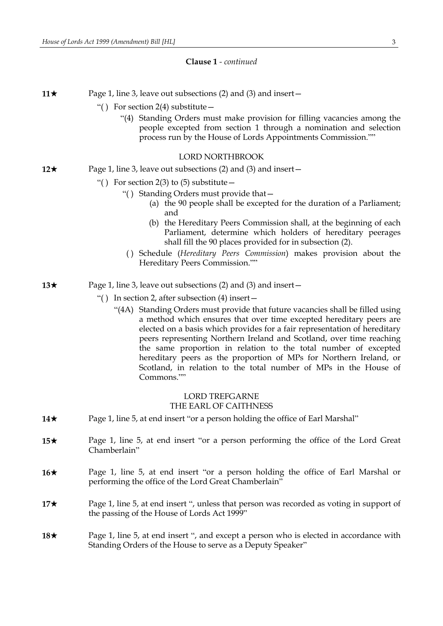**11** $\star$  Page 1, line 3, leave out subsections (2) and (3) and insert

- "( ) For section 2(4) substitute—
	- "(4) Standing Orders must make provision for filling vacancies among the people excepted from section 1 through a nomination and selection process run by the House of Lords Appointments Commission.""

## LORD NORTHBROOK

- **12★** Page 1, line 3, leave out subsections (2) and (3) and insert—
	- "() For section 2(3) to (5) substitute  $-$ 
		- "( ) Standing Orders must provide that—
			- (a) the 90 people shall be excepted for the duration of a Parliament; and
			- (b) the Hereditary Peers Commission shall, at the beginning of each Parliament, determine which holders of hereditary peerages shall fill the 90 places provided for in subsection (2).
		- ( ) Schedule (*Hereditary Peers Commission*) makes provision about the Hereditary Peers Commission.""
- **13★** Page 1, line 3, leave out subsections (2) and (3) and insert—
	- "( ) In section 2, after subsection (4) insert—
		- "(4A) Standing Orders must provide that future vacancies shall be filled using a method which ensures that over time excepted hereditary peers are elected on a basis which provides for a fair representation of hereditary peers representing Northern Ireland and Scotland, over time reaching the same proportion in relation to the total number of excepted hereditary peers as the proportion of MPs for Northern Ireland, or Scotland, in relation to the total number of MPs in the House of Commons.""

# LORD TREFGARNE THE EARL OF CAITHNESS

- **14★** Page 1, line 5, at end insert "or a person holding the office of Earl Marshal"
- **15**★ Page 1, line 5, at end insert "or a person performing the office of the Lord Great Chamberlain"
- **16**★ Page 1, line 5, at end insert "or a person holding the office of Earl Marshal or performing the office of the Lord Great Chamberlain"
- **17★** Page 1, line 5, at end insert ", unless that person was recorded as voting in support of the passing of the House of Lords Act 1999"
- **18**★ Page 1, line 5, at end insert ", and except a person who is elected in accordance with Standing Orders of the House to serve as a Deputy Speaker"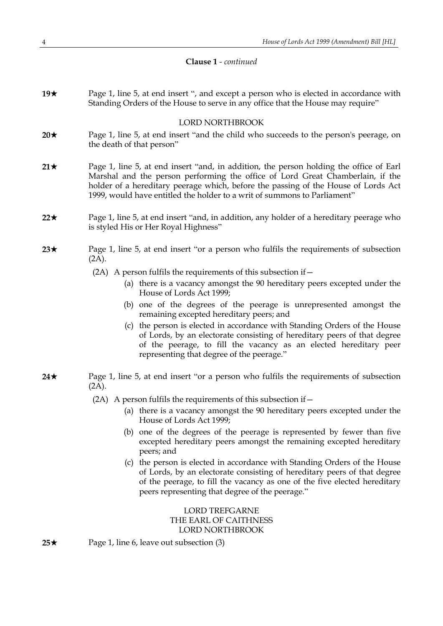**19★** Page 1, line 5, at end insert ", and except a person who is elected in accordance with Standing Orders of the House to serve in any office that the House may require"

## LORD NORTHBROOK

- **20★** Page 1, line 5, at end insert "and the child who succeeds to the person's peerage, on the death of that person"
- **21**★ Page 1, line 5, at end insert "and, in addition, the person holding the office of Earl Marshal and the person performing the office of Lord Great Chamberlain, if the holder of a hereditary peerage which, before the passing of the House of Lords Act 1999, would have entitled the holder to a writ of summons to Parliament"
- **22**\* Page 1, line 5, at end insert "and, in addition, any holder of a hereditary peerage who is styled His or Her Royal Highness"
- **23** $\star$  Page 1, line 5, at end insert "or a person who fulfils the requirements of subsection (2A).
	- (2A) A person fulfils the requirements of this subsection if  $-$ 
		- (a) there is a vacancy amongst the 90 hereditary peers excepted under the House of Lords Act 1999;
		- (b) one of the degrees of the peerage is unrepresented amongst the remaining excepted hereditary peers; and
		- (c) the person is elected in accordance with Standing Orders of the House of Lords, by an electorate consisting of hereditary peers of that degree of the peerage, to fill the vacancy as an elected hereditary peer representing that degree of the peerage."
- **24**★ Page 1, line 5, at end insert "or a person who fulfils the requirements of subsection (2A).
	- $(2A)$  A person fulfils the requirements of this subsection if  $-$ 
		- (a) there is a vacancy amongst the 90 hereditary peers excepted under the House of Lords Act 1999;
		- (b) one of the degrees of the peerage is represented by fewer than five excepted hereditary peers amongst the remaining excepted hereditary peers; and
		- (c) the person is elected in accordance with Standing Orders of the House of Lords, by an electorate consisting of hereditary peers of that degree of the peerage, to fill the vacancy as one of the five elected hereditary peers representing that degree of the peerage."

LORD TREFGARNE THE EARL OF CAITHNESS LORD NORTHBROOK

**25**★ Page 1, line 6, leave out subsection (3)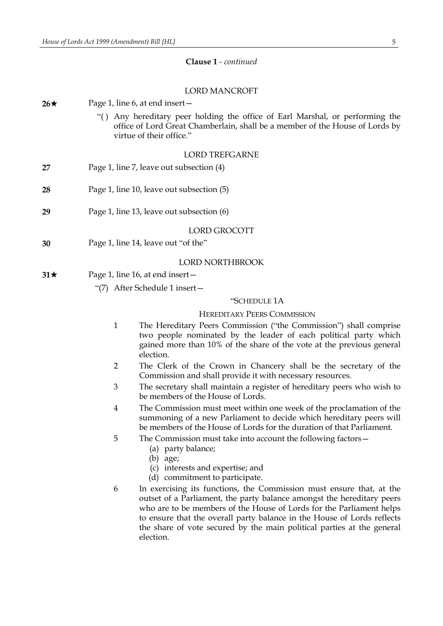# LORD MANCROFT

| $26\star$ |                                           | Page 1, line 6, at end insert -                                                                                                                                                                                                                                                                                                                                                          |  |  |
|-----------|-------------------------------------------|------------------------------------------------------------------------------------------------------------------------------------------------------------------------------------------------------------------------------------------------------------------------------------------------------------------------------------------------------------------------------------------|--|--|
|           |                                           | "() Any hereditary peer holding the office of Earl Marshal, or performing the<br>office of Lord Great Chamberlain, shall be a member of the House of Lords by<br>virtue of their office."                                                                                                                                                                                                |  |  |
|           |                                           | <b>LORD TREFGARNE</b>                                                                                                                                                                                                                                                                                                                                                                    |  |  |
| 27        |                                           | Page 1, line 7, leave out subsection (4)                                                                                                                                                                                                                                                                                                                                                 |  |  |
| 28        |                                           | Page 1, line 10, leave out subsection (5)                                                                                                                                                                                                                                                                                                                                                |  |  |
| 29        | Page 1, line 13, leave out subsection (6) |                                                                                                                                                                                                                                                                                                                                                                                          |  |  |
|           |                                           | LORD GROCOTT                                                                                                                                                                                                                                                                                                                                                                             |  |  |
| 30        | Page 1, line 14, leave out "of the"       |                                                                                                                                                                                                                                                                                                                                                                                          |  |  |
|           |                                           | LORD NORTHBROOK                                                                                                                                                                                                                                                                                                                                                                          |  |  |
| $31\star$ |                                           | Page 1, line 16, at end insert –                                                                                                                                                                                                                                                                                                                                                         |  |  |
|           |                                           | "(7) After Schedule 1 insert -                                                                                                                                                                                                                                                                                                                                                           |  |  |
|           |                                           | "SCHEDULE 1A                                                                                                                                                                                                                                                                                                                                                                             |  |  |
|           |                                           | <b>HEREDITARY PEERS COMMISSION</b>                                                                                                                                                                                                                                                                                                                                                       |  |  |
|           | $\mathbf{1}$                              | The Hereditary Peers Commission ("the Commission") shall comprise<br>two people nominated by the leader of each political party which<br>gained more than 10% of the share of the vote at the previous general<br>election.                                                                                                                                                              |  |  |
|           | $\overline{2}$                            | The Clerk of the Crown in Chancery shall be the secretary of the<br>Commission and shall provide it with necessary resources.                                                                                                                                                                                                                                                            |  |  |
|           | 3                                         | The secretary shall maintain a register of hereditary peers who wish to<br>be members of the House of Lords.                                                                                                                                                                                                                                                                             |  |  |
|           | $\overline{4}$                            | The Commission must meet within one week of the proclamation of the<br>summoning of a new Parliament to decide which hereditary peers will<br>be members of the House of Lords for the duration of that Parliament.                                                                                                                                                                      |  |  |
|           | 5                                         | The Commission must take into account the following factors –<br>(a) party balance;<br>$(b)$ age;<br>(c) interests and expertise; and<br>(d) commitment to participate.                                                                                                                                                                                                                  |  |  |
|           | 6                                         | In exercising its functions, the Commission must ensure that, at the<br>outset of a Parliament, the party balance amongst the hereditary peers<br>who are to be members of the House of Lords for the Parliament helps<br>to ensure that the overall party balance in the House of Lords reflects<br>the share of vote secured by the main political parties at the general<br>election. |  |  |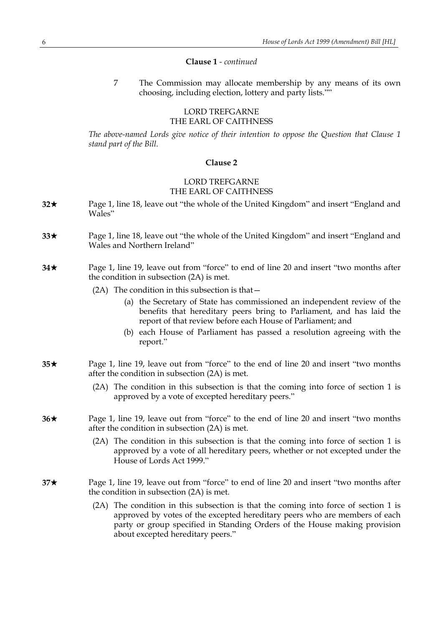7 The Commission may allocate membership by any means of its own choosing, including election, lottery and party lists.""

# LORD TREFGARNE THE EARL OF CAITHNESS

*The above-named Lords give notice of their intention to oppose the Question that Clause 1 stand part of the Bill.*

#### **Clause 2**

# LORD TREFGARNE THE EARL OF CAITHNESS

- **32**\* Page 1, line 18, leave out "the whole of the United Kingdom" and insert "England and Wales"
- **33**\* Page 1, line 18, leave out "the whole of the United Kingdom" and insert "England and Wales and Northern Ireland"
- **34**\* Page 1, line 19, leave out from "force" to end of line 20 and insert "two months after the condition in subsection (2A) is met.
	- (2A) The condition in this subsection is that—
		- (a) the Secretary of State has commissioned an independent review of the benefits that hereditary peers bring to Parliament, and has laid the report of that review before each House of Parliament; and
		- (b) each House of Parliament has passed a resolution agreeing with the report."
- **35**\* Page 1, line 19, leave out from "force" to the end of line 20 and insert "two months after the condition in subsection (2A) is met.
	- (2A) The condition in this subsection is that the coming into force of section 1 is approved by a vote of excepted hereditary peers."
- **36**\* Page 1, line 19, leave out from "force" to the end of line 20 and insert "two months after the condition in subsection (2A) is met.
	- (2A) The condition in this subsection is that the coming into force of section 1 is approved by a vote of all hereditary peers, whether or not excepted under the House of Lords Act 1999."
- **37**\* Page 1, line 19, leave out from "force" to end of line 20 and insert "two months after the condition in subsection (2A) is met.
	- (2A) The condition in this subsection is that the coming into force of section 1 is approved by votes of the excepted hereditary peers who are members of each party or group specified in Standing Orders of the House making provision about excepted hereditary peers."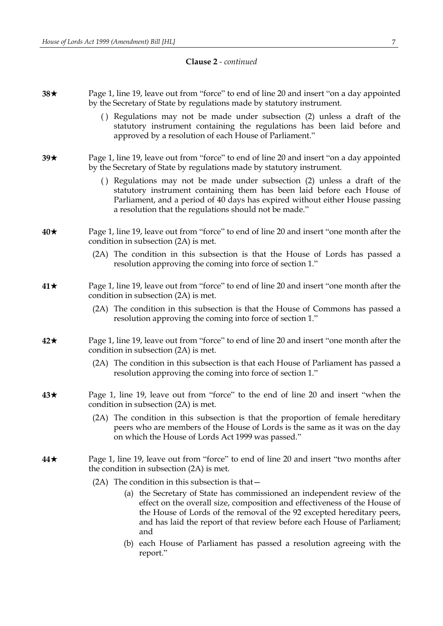- **38**\* Page 1, line 19, leave out from "force" to end of line 20 and insert "on a day appointed by the Secretary of State by regulations made by statutory instrument.
	- ( ) Regulations may not be made under subsection (2) unless a draft of the statutory instrument containing the regulations has been laid before and approved by a resolution of each House of Parliament."
- **39**\* Page 1, line 19, leave out from "force" to end of line 20 and insert "on a day appointed by the Secretary of State by regulations made by statutory instrument.
	- ( ) Regulations may not be made under subsection (2) unless a draft of the statutory instrument containing them has been laid before each House of Parliament, and a period of 40 days has expired without either House passing a resolution that the regulations should not be made."
- **40**\* Page 1, line 19, leave out from "force" to end of line 20 and insert "one month after the condition in subsection (2A) is met.
	- (2A) The condition in this subsection is that the House of Lords has passed a resolution approving the coming into force of section 1."
- **41**\* Page 1, line 19, leave out from "force" to end of line 20 and insert "one month after the condition in subsection (2A) is met.
	- (2A) The condition in this subsection is that the House of Commons has passed a resolution approving the coming into force of section 1."
- **42**\* Page 1, line 19, leave out from "force" to end of line 20 and insert "one month after the condition in subsection (2A) is met.
	- (2A) The condition in this subsection is that each House of Parliament has passed a resolution approving the coming into force of section 1."
- **43**\* Page 1, line 19, leave out from "force" to the end of line 20 and insert "when the condition in subsection (2A) is met.
	- (2A) The condition in this subsection is that the proportion of female hereditary peers who are members of the House of Lords is the same as it was on the day on which the House of Lords Act 1999 was passed."
- **44**\* Page 1, line 19, leave out from "force" to end of line 20 and insert "two months after the condition in subsection (2A) is met.
	- (2A) The condition in this subsection is that—
		- (a) the Secretary of State has commissioned an independent review of the effect on the overall size, composition and effectiveness of the House of the House of Lords of the removal of the 92 excepted hereditary peers, and has laid the report of that review before each House of Parliament; and
		- (b) each House of Parliament has passed a resolution agreeing with the report."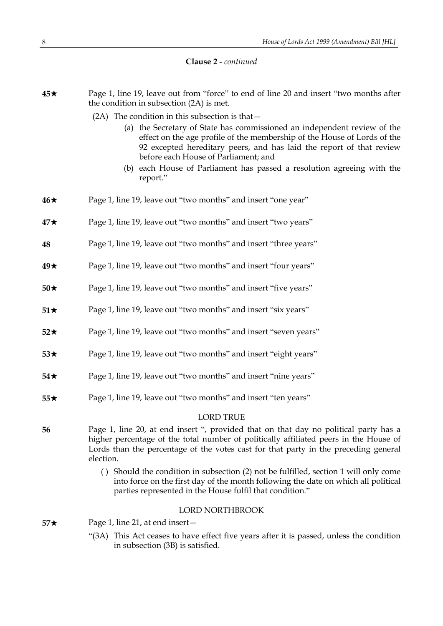| $45\star$       | Page 1, line 19, leave out from "force" to end of line 20 and insert "two months after<br>the condition in subsection (2A) is met.<br>$(2A)$ The condition in this subsection is that $-$<br>(a) the Secretary of State has commissioned an independent review of the<br>effect on the age profile of the membership of the House of Lords of the<br>92 excepted hereditary peers, and has laid the report of that review<br>before each House of Parliament; and<br>(b) each House of Parliament has passed a resolution agreeing with the<br>report." |  |  |
|-----------------|---------------------------------------------------------------------------------------------------------------------------------------------------------------------------------------------------------------------------------------------------------------------------------------------------------------------------------------------------------------------------------------------------------------------------------------------------------------------------------------------------------------------------------------------------------|--|--|
| $46\star$       | Page 1, line 19, leave out "two months" and insert "one year"                                                                                                                                                                                                                                                                                                                                                                                                                                                                                           |  |  |
| $47\star$       | Page 1, line 19, leave out "two months" and insert "two years"                                                                                                                                                                                                                                                                                                                                                                                                                                                                                          |  |  |
| 48              | Page 1, line 19, leave out "two months" and insert "three years"                                                                                                                                                                                                                                                                                                                                                                                                                                                                                        |  |  |
| $49\star$       | Page 1, line 19, leave out "two months" and insert "four years"                                                                                                                                                                                                                                                                                                                                                                                                                                                                                         |  |  |
| $50\star$       | Page 1, line 19, leave out "two months" and insert "five years"                                                                                                                                                                                                                                                                                                                                                                                                                                                                                         |  |  |
| $51\star$       | Page 1, line 19, leave out "two months" and insert "six years"                                                                                                                                                                                                                                                                                                                                                                                                                                                                                          |  |  |
| $52\star$       | Page 1, line 19, leave out "two months" and insert "seven years"                                                                                                                                                                                                                                                                                                                                                                                                                                                                                        |  |  |
| $53\star$       | Page 1, line 19, leave out "two months" and insert "eight years"                                                                                                                                                                                                                                                                                                                                                                                                                                                                                        |  |  |
| 54 $\star$      | Page 1, line 19, leave out "two months" and insert "nine years"                                                                                                                                                                                                                                                                                                                                                                                                                                                                                         |  |  |
| $55\star$       | Page 1, line 19, leave out "two months" and insert "ten years"                                                                                                                                                                                                                                                                                                                                                                                                                                                                                          |  |  |
|                 | <b>LORD TRUE</b>                                                                                                                                                                                                                                                                                                                                                                                                                                                                                                                                        |  |  |
| 56              | Page 1, line 20, at end insert ", provided that on that day no political party has a<br>higher percentage of the total number of politically affiliated peers in the House of<br>Lords than the percentage of the votes cast for that party in the preceding general<br>election.                                                                                                                                                                                                                                                                       |  |  |
|                 | () Should the condition in subsection (2) not be fulfilled, section 1 will only come<br>into force on the first day of the month following the date on which all political<br>parties represented in the House fulfil that condition."                                                                                                                                                                                                                                                                                                                  |  |  |
| LORD NORTHBROOK |                                                                                                                                                                                                                                                                                                                                                                                                                                                                                                                                                         |  |  |
| $57\star$       | Page 1, line 21, at end insert –                                                                                                                                                                                                                                                                                                                                                                                                                                                                                                                        |  |  |
|                 | This Act ceases to have effect five years after it is passed, unless the condition<br>"(3A)<br>in subsection (3B) is satisfied.                                                                                                                                                                                                                                                                                                                                                                                                                         |  |  |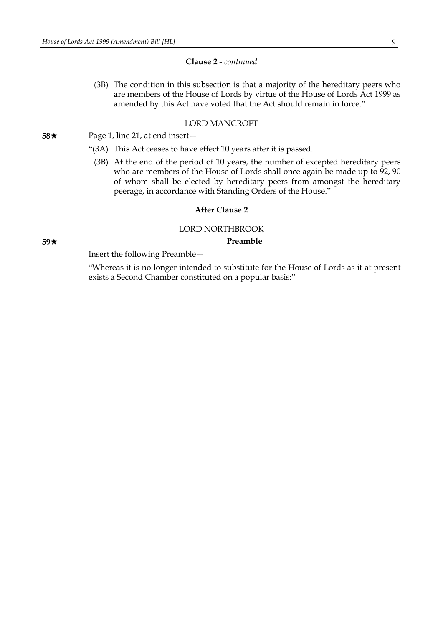(3B) The condition in this subsection is that a majority of the hereditary peers who are members of the House of Lords by virtue of the House of Lords Act 1999 as amended by this Act have voted that the Act should remain in force."

# LORD MANCROFT

**58**★ Page 1, line 21, at end insert —

- "(3A) This Act ceases to have effect 10 years after it is passed.
	- (3B) At the end of the period of 10 years, the number of excepted hereditary peers who are members of the House of Lords shall once again be made up to 92, 90 of whom shall be elected by hereditary peers from amongst the hereditary peerage, in accordance with Standing Orders of the House."

## **After Clause 2**

#### LORD NORTHBROOK

## **59**\* **Preamble**

Insert the following Preamble—

"Whereas it is no longer intended to substitute for the House of Lords as it at present exists a Second Chamber constituted on a popular basis:"